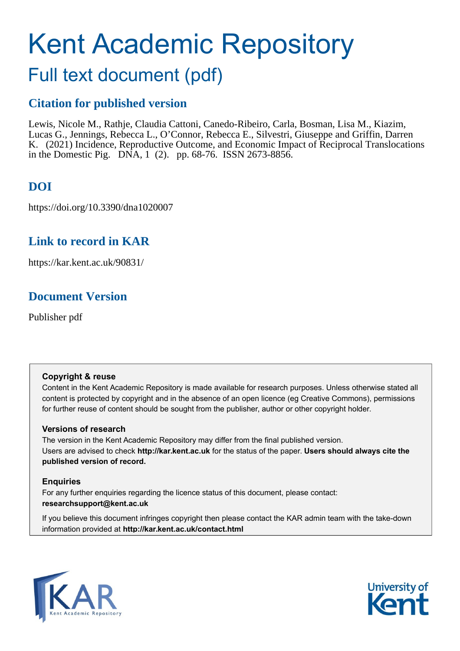# Kent Academic Repository

# Full text document (pdf)

# **Citation for published version**

Lewis, Nicole M., Rathje, Claudia Cattoni, Canedo-Ribeiro, Carla, Bosman, Lisa M., Kiazim, Lucas G., Jennings, Rebecca L., O'Connor, Rebecca E., Silvestri, Giuseppe and Griffin, Darren K. (2021) Incidence, Reproductive Outcome, and Economic Impact of Reciprocal Translocations in the Domestic Pig. DNA, 1 (2). pp. 68-76. ISSN 2673-8856.

# **DOI**

https://doi.org/10.3390/dna1020007

# **Link to record in KAR**

https://kar.kent.ac.uk/90831/

# **Document Version**

Publisher pdf

#### **Copyright & reuse**

Content in the Kent Academic Repository is made available for research purposes. Unless otherwise stated all content is protected by copyright and in the absence of an open licence (eg Creative Commons), permissions for further reuse of content should be sought from the publisher, author or other copyright holder.

#### **Versions of research**

The version in the Kent Academic Repository may differ from the final published version. Users are advised to check **http://kar.kent.ac.uk** for the status of the paper. **Users should always cite the published version of record.**

#### **Enquiries**

For any further enquiries regarding the licence status of this document, please contact: **researchsupport@kent.ac.uk**

If you believe this document infringes copyright then please contact the KAR admin team with the take-down information provided at **http://kar.kent.ac.uk/contact.html**



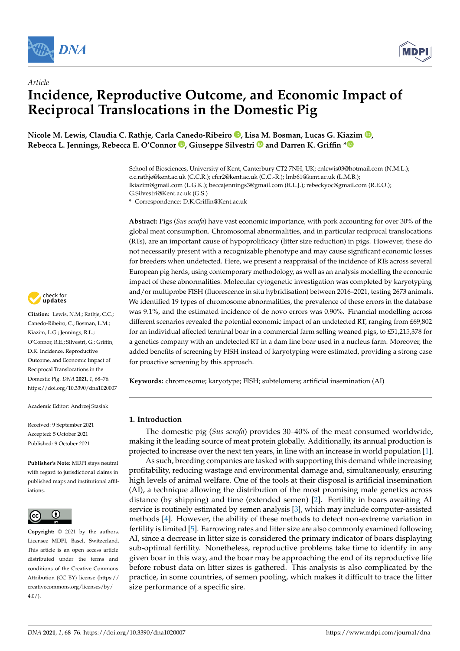

*Article*



# **Incidence, Reproductive Outcome, and Economic Impact of Reciprocal Translocations in the Domestic Pig**

**Nicole M. Lewis, Claudia C. Rathje, Carla Canedo-Ribeiro [,](https://orcid.org/0000-0003-1575-7420) Lis[a M](https://orcid.org/0000-0002-5496-2470). Bosman, Lucas G. Kiazim [,](https://orcid.org/0000-0001-6498-0421) Rebecca L. Jennings, Rebecca E. O'Connor [,](https://orcid.org/0000-0002-4270-970X) Giuseppe Silvestri and Darren K. Griffin [\\*](https://orcid.org/0000-0001-7595-3226)**

> School of Biosciences, University of Kent, Canterbury CT2 7NH, UK; cnlewis03@hotmail.com (N.M.L.); c.c.rathje@kent.ac.uk (C.C.R.); cfcr2@kent.ac.uk (C.C.-R.); lmb61@kent.ac.uk (L.M.B.); lkiazim@gmail.com (L.G.K.); beccajennings3@gmail.com (R.L.J.); rebeckyoc@gmail.com (R.E.O.); G.Silvestri@Kent.ac.uk (G.S.)

**\*** Correspondence: D.K.Griffin@Kent.ac.uk

**Abstract:** Pigs (*Sus scrofa*) have vast economic importance, with pork accounting for over 30% of the global meat consumption. Chromosomal abnormalities, and in particular reciprocal translocations (RTs), are an important cause of hypoprolificacy (litter size reduction) in pigs. However, these do not necessarily present with a recognizable phenotype and may cause significant economic losses for breeders when undetected. Here, we present a reappraisal of the incidence of RTs across several European pig herds, using contemporary methodology, as well as an analysis modelling the economic impact of these abnormalities. Molecular cytogenetic investigation was completed by karyotyping and/or multiprobe FISH (fluorescence in situ hybridisation) between 2016–2021, testing 2673 animals. We identified 19 types of chromosome abnormalities, the prevalence of these errors in the database was 9.1%, and the estimated incidence of de novo errors was 0.90%. Financial modelling across different scenarios revealed the potential economic impact of an undetected RT, ranging from £69,802 for an individual affected terminal boar in a commercial farm selling weaned pigs, to £51,215,378 for a genetics company with an undetected RT in a dam line boar used in a nucleus farm. Moreover, the added benefits of screening by FISH instead of karyotyping were estimated, providing a strong case for proactive screening by this approach.

**Keywords:** chromosome; karyotype; FISH; subtelomere; artificial insemination (AI)

#### **1. Introduction**

The domestic pig (*Sus scrofa*) provides 30–40% of the meat consumed worldwide, making it the leading source of meat protein globally. Additionally, its annual production is projected to increase over the next ten years, in line with an increase in world population [1].

As such, breeding companies are tasked with supporting this demand while increasing profitability, reducing wastage and environmental damage and, simultaneously, ensuring high levels of animal welfare. One of the tools at their disposal is artificial insemination (AI), a technique allowing the distribution of the most promising male genetics across distance (by shipping) and time (extended semen) [2]. Fertility in boars awaiting AI service is routinely estimated by semen analysis [3], which may include computer-assisted methods [4]. However, the ability of these methods to detect non-extreme variation in fertility is limited [5]. Farrowing rates and litter size are also commonly examined following AI, since a decrease in litter size is considered the primary indicator of boars displaying sub-optimal fertility. Nonetheless, reproductive problems take time to identify in any given boar in this way, and the boar may be approaching the end of its reproductive life before robust data on litter sizes is gathered. This analysis is also complicated by the practice, in some countries, of semen pooling, which makes it difficult to trace the litter size performance of a specific sire.



**Citation:** Lewis, N.M.; Rathje, C.C.; Canedo-Ribeiro, C.; Bosman, L.M.; Kiazim, L.G.; Jennings, R.L.; O'Connor, R.E.; Silvestri, G.; Griffin, D.K. Incidence, Reproductive Outcome, and Economic Impact of Reciprocal Translocations in the Domestic Pig. *DNA* **2021**, *1*, 68–76. <https://doi.org/10.3390/dna1020007>

Academic Editor: Andrzej Stasiak

Received: 9 September 2021 Accepted: 5 October 2021 Published: 9 October 2021

**Publisher's Note:** MDPI stays neutral with regard to jurisdictional claims in published maps and institutional affiliations.



**Copyright:** © 2021 by the authors. Licensee MDPI, Basel, Switzerland. This article is an open access article distributed under the terms and conditions of the Creative Commons Attribution (CC BY) license (https:/[/](https://creativecommons.org/licenses/by/4.0/) [creativecommons.org/licenses/by/](https://creativecommons.org/licenses/by/4.0/)  $4.0/$ ).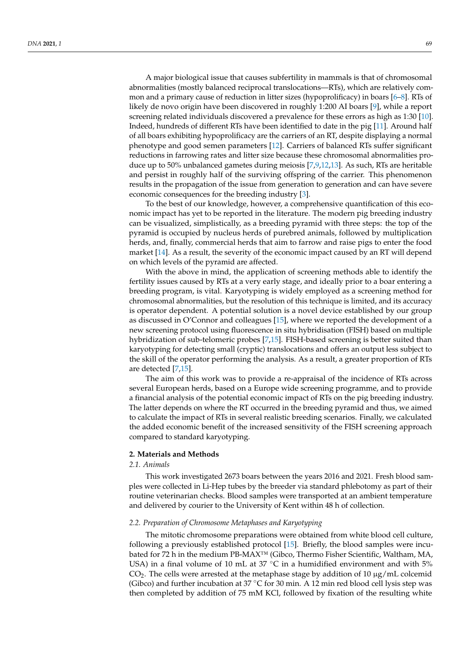A major biological issue that causes subfertility in mammals is that of chromosomal abnormalities (mostly balanced reciprocal translocations—RTs), which are relatively common and a primary cause of reduction in litter sizes (hypoprolificacy) in boars [6–8]. RTs of likely de novo origin have been discovered in roughly 1:200 AI boars [9], while a report screening related individuals discovered a prevalence for these errors as high as 1:30 [10]. Indeed, hundreds of different RTs have been identified to date in the pig [11]. Around half of all boars exhibiting hypoprolificacy are the carriers of an RT, despite displaying a normal phenotype and good semen parameters [12]. Carriers of balanced RTs suffer significant reductions in farrowing rates and litter size because these chromosomal abnormalities produce up to 50% unbalanced gametes during meiosis [7,9,12,13]. As such, RTs are heritable and persist in roughly half of the surviving offspring of the carrier. This phenomenon results in the propagation of the issue from generation to generation and can have severe economic consequences for the breeding industry [3].

To the best of our knowledge, however, a comprehensive quantification of this economic impact has yet to be reported in the literature. The modern pig breeding industry can be visualized, simplistically, as a breeding pyramid with three steps: the top of the pyramid is occupied by nucleus herds of purebred animals, followed by multiplication herds, and, finally, commercial herds that aim to farrow and raise pigs to enter the food market [14]. As a result, the severity of the economic impact caused by an RT will depend on which levels of the pyramid are affected.

With the above in mind, the application of screening methods able to identify the fertility issues caused by RTs at a very early stage, and ideally prior to a boar entering a breeding program, is vital. Karyotyping is widely employed as a screening method for chromosomal abnormalities, but the resolution of this technique is limited, and its accuracy is operator dependent. A potential solution is a novel device established by our group as discussed in O'Connor and colleagues [15], where we reported the development of a new screening protocol using fluorescence in situ hybridisation (FISH) based on multiple hybridization of sub-telomeric probes [7,15]. FISH-based screening is better suited than karyotyping for detecting small (cryptic) translocations and offers an output less subject to the skill of the operator performing the analysis. As a result, a greater proportion of RTs are detected [7,15].

The aim of this work was to provide a re-appraisal of the incidence of RTs across several European herds, based on a Europe wide screening programme, and to provide a financial analysis of the potential economic impact of RTs on the pig breeding industry. The latter depends on where the RT occurred in the breeding pyramid and thus, we aimed to calculate the impact of RTs in several realistic breeding scenarios. Finally, we calculated the added economic benefit of the increased sensitivity of the FISH screening approach compared to standard karyotyping.

#### **2. Materials and Methods**

#### *2.1. Animals*

This work investigated 2673 boars between the years 2016 and 2021. Fresh blood samples were collected in Li-Hep tubes by the breeder via standard phlebotomy as part of their routine veterinarian checks. Blood samples were transported at an ambient temperature and delivered by courier to the University of Kent within 48 h of collection.

#### *2.2. Preparation of Chromosome Metaphases and Karyotyping*

The mitotic chromosome preparations were obtained from white blood cell culture, following a previously established protocol [15]. Briefly, the blood samples were incubated for 72 h in the medium PB-MAX™ (Gibco, Thermo Fisher Scientific, Waltham, MA, USA) in a final volume of 10 mL at 37  $°C$  in a humidified environment and with 5%  $CO<sub>2</sub>$ . The cells were arrested at the metaphase stage by addition of 10  $\mu$ g/mL colcemid (Gibco) and further incubation at  $37^{\circ}$ C for 30 min. A 12 min red blood cell lysis step was then completed by addition of 75 mM KCl, followed by fixation of the resulting white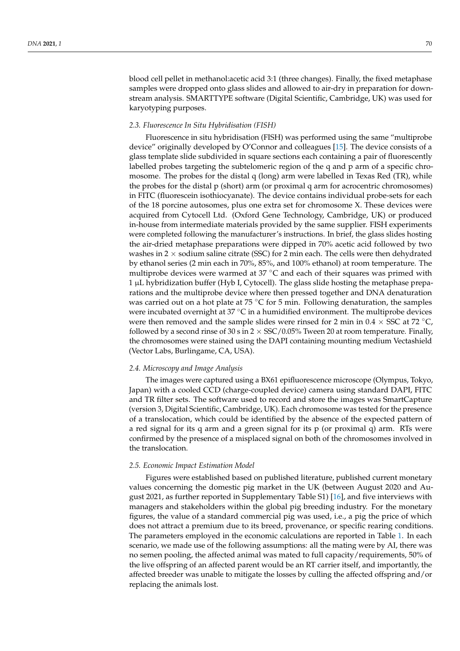blood cell pellet in methanol:acetic acid 3:1 (three changes). Finally, the fixed metaphase samples were dropped onto glass slides and allowed to air-dry in preparation for downstream analysis. SMARTTYPE software (Digital Scientific, Cambridge, UK) was used for karyotyping purposes.

#### *2.3. Fluorescence In Situ Hybridisation (FISH)*

Fluorescence in situ hybridisation (FISH) was performed using the same "multiprobe device" originally developed by O'Connor and colleagues [15]. The device consists of a glass template slide subdivided in square sections each containing a pair of fluorescently labelled probes targeting the subtelomeric region of the q and p arm of a specific chromosome. The probes for the distal q (long) arm were labelled in Texas Red (TR), while the probes for the distal p (short) arm (or proximal q arm for acrocentric chromosomes) in FITC (fluorescein isothiocyanate). The device contains individual probe-sets for each of the 18 porcine autosomes, plus one extra set for chromosome X. These devices were acquired from Cytocell Ltd. (Oxford Gene Technology, Cambridge, UK) or produced in-house from intermediate materials provided by the same supplier. FISH experiments were completed following the manufacturer's instructions. In brief, the glass slides hosting the air-dried metaphase preparations were dipped in 70% acetic acid followed by two washes in  $2 \times$  sodium saline citrate (SSC) for 2 min each. The cells were then dehydrated by ethanol series (2 min each in 70%, 85%, and 100% ethanol) at room temperature. The multiprobe devices were warmed at  $37^{\circ}$ C and each of their squares was primed with 1 µL hybridization buffer (Hyb I, Cytocell). The glass slide hosting the metaphase preparations and the multiprobe device where then pressed together and DNA denaturation was carried out on a hot plate at 75  $\mathrm{^{\circ}C}$  for 5 min. Following denaturation, the samples were incubated overnight at  $37 \textdegree C$  in a humidified environment. The multiprobe devices were then removed and the sample slides were rinsed for 2 min in  $0.4 \times$  SSC at 72 °C, followed by a second rinse of 30 s in  $2 \times$  SSC/0.05% Tween 20 at room temperature. Finally, the chromosomes were stained using the DAPI containing mounting medium Vectashield (Vector Labs, Burlingame, CA, USA).

#### *2.4. Microscopy and Image Analysis*

The images were captured using a BX61 epifluorescence microscope (Olympus, Tokyo, Japan) with a cooled CCD (charge-coupled device) camera using standard DAPI, FITC and TR filter sets. The software used to record and store the images was SmartCapture (version 3, Digital Scientific, Cambridge, UK). Each chromosome was tested for the presence of a translocation, which could be identified by the absence of the expected pattern of a red signal for its q arm and a green signal for its p (or proximal q) arm. RTs were confirmed by the presence of a misplaced signal on both of the chromosomes involved in the translocation.

#### *2.5. Economic Impact Estimation Model*

Figures were established based on published literature, published current monetary values concerning the domestic pig market in the UK (between August 2020 and August 2021, as further reported in Supplementary Table S1) [16], and five interviews with managers and stakeholders within the global pig breeding industry. For the monetary figures, the value of a standard commercial pig was used, i.e., a pig the price of which does not attract a premium due to its breed, provenance, or specific rearing conditions. The parameters employed in the economic calculations are reported in Table 1. In each scenario, we made use of the following assumptions: all the mating were by AI, there was no semen pooling, the affected animal was mated to full capacity/requirements, 50% of the live offspring of an affected parent would be an RT carrier itself, and importantly, the affected breeder was unable to mitigate the losses by culling the affected offspring and/or replacing the animals lost.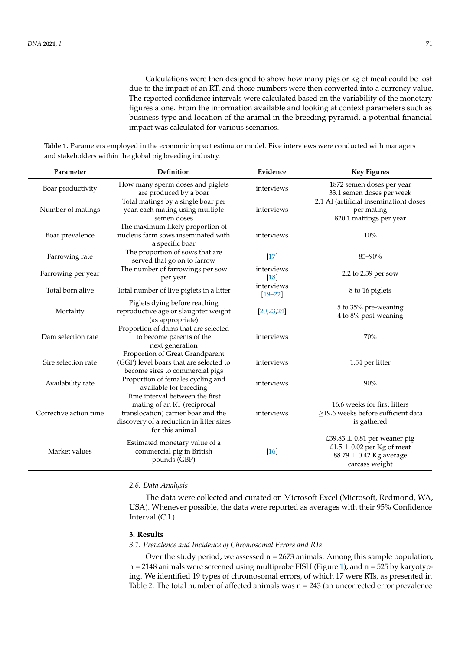Calculations were then designed to show how many pigs or kg of meat could be lost due to the impact of an RT, and those numbers were then converted into a currency value. The reported confidence intervals were calculated based on the variability of the monetary figures alone. From the information available and looking at context parameters such as business type and location of the animal in the breeding pyramid, a potential financial impact was calculated for various scenarios.

| Parameter              | Definition                                                                                                                                                           | Evidence                  | <b>Key Figures</b>                                                                                                  |
|------------------------|----------------------------------------------------------------------------------------------------------------------------------------------------------------------|---------------------------|---------------------------------------------------------------------------------------------------------------------|
| Boar productivity      | How many sperm doses and piglets<br>are produced by a boar<br>Total matings by a single boar per                                                                     | interviews                | 1872 semen doses per year<br>33.1 semen doses per week<br>2.1 AI (artificial insemination) doses                    |
| Number of matings      | year, each mating using multiple<br>semen doses                                                                                                                      | interviews                | per mating<br>820.1 mattings per year                                                                               |
| Boar prevalence        | The maximum likely proportion of<br>nucleus farm sows inseminated with<br>a specific boar                                                                            | interviews                | 10%                                                                                                                 |
| Farrowing rate         | The proportion of sows that are<br>served that go on to farrow                                                                                                       | $[17]$                    | $85 - 90\%$                                                                                                         |
| Farrowing per year     | The number of farrowings per sow<br>per year                                                                                                                         | interviews<br>$[18]$      | 2.2 to 2.39 per sow                                                                                                 |
| Total born alive       | Total number of live piglets in a litter                                                                                                                             | interviews<br>$[19 - 22]$ | 8 to 16 piglets                                                                                                     |
| Mortality              | Piglets dying before reaching<br>reproductive age or slaughter weight<br>(as appropriate)                                                                            | [20, 23, 24]              | 5 to 35% pre-weaning<br>4 to 8% post-weaning                                                                        |
| Dam selection rate     | Proportion of dams that are selected<br>to become parents of the<br>next generation                                                                                  | interviews                | 70%                                                                                                                 |
| Sire selection rate    | Proportion of Great Grandparent<br>(GGP) level boars that are selected to<br>become sires to commercial pigs                                                         | interviews                | 1.54 per litter                                                                                                     |
| Availability rate      | Proportion of females cycling and<br>available for breeding                                                                                                          | interviews                | 90%                                                                                                                 |
| Corrective action time | Time interval between the first<br>mating of an RT (reciprocal<br>translocation) carrier boar and the<br>discovery of a reduction in litter sizes<br>for this animal | interviews                | 16.6 weeks for first litters<br>$\geq$ 19.6 weeks before sufficient data<br>is gathered                             |
| Market values          | Estimated monetary value of a<br>commercial pig in British<br>pounds (GBP)                                                                                           | [16]                      | £39.83 $\pm$ 0.81 per weaner pig<br>£1.5 $\pm$ 0.02 per Kg of meat<br>$88.79 \pm 0.42$ Kg average<br>carcass weight |

**Table 1.** Parameters employed in the economic impact estimator model. Five interviews were conducted with managers and stakeholders within the global pig breeding industry.

#### *2.6. Data Analysis*

The data were collected and curated on Microsoft Excel (Microsoft, Redmond, WA, USA). Whenever possible, the data were reported as averages with their 95% Confidence Interval (C.I.).

#### **3. Results**

#### *3.1. Prevalence and Incidence of Chromosomal Errors and RTs*

Over the study period, we assessed  $n = 2673$  animals. Among this sample population,  $n = 2148$  animals were screened using multiprobe FISH (Figure 1), and  $n = 525$  by karyotyping. We identified 19 types of chromosomal errors, of which 17 were RTs, as presented in Table 2. The total number of affected animals was  $n = 243$  (an uncorrected error prevalence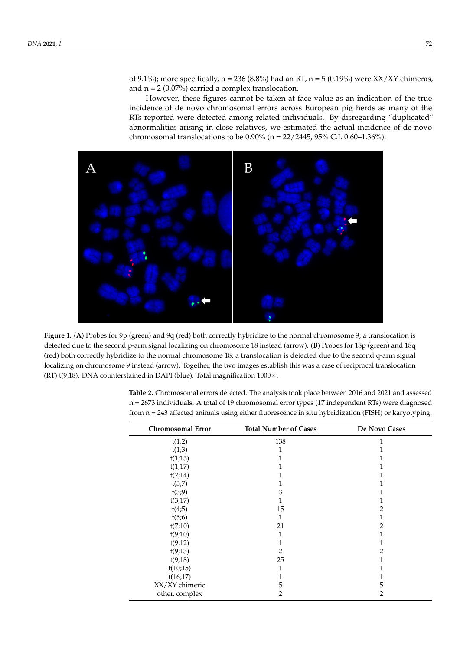of 9.1%); more specifically,  $n = 236$  (8.8%) had an RT,  $n = 5$  (0.19%) were XX/XY chimeras, and  $n = 2$  (0.07%) carried a complex translocation.

However, these figures cannot be taken at face value as an indication of the true incidence of de novo chromosomal errors across European pig herds as many of the RTs reported were detected among related individuals. By disregarding "duplicated" abnormalities arising in close relatives, we estimated the actual incidence of de novo chromosomal translocations to be 0.90% (n = 22/2445, 95% C.I. 0.60–1.36%).



Figure 1. (A) Probes for 9p (green) and 9q (red) both correctly hybridize to the normal chromosome 9; a translocation is detected due to the second p-arm signal localizing on chromosome 18 instead (arrow). (B) Probes for 18p (green) and 18q expective and to the normal chromosome containing on chromosome 18; a translocation is detected due to the second quality of the second quality of the second quality of the second quality of the second quality of the secon (red) both correctly hybridize to the normal chromosome 18; a translocation is detected due to the second q-arm signal (red) localizing on chromosome 9 instead (arrow). Together, the two images establish this was a case of reciprocal translocation (RT) t(9;18). DNA counterstained in DAPI (blue). Total magnification  $1000 \times$ .

*3.2. The Economic Costs of RTs* **Table 2.** Chromosomal errors detected. The analysis took place between 2016 and 2021 and assessed  $n = 2673$  individuals. A total of 19 chromosomal error types (17 independent RTs) were diagnosed from n = 243 affected animals using either fluorescence in situ hybridization (FISH) or karyotyping.  $\frac{1}{2}$  from the parameter  $\frac{1}{2}$  from the parameter taken the parameter taken the parameter  $\frac{1}{2}$  from the parameter  $\frac{1}{2}$ 

| <b>Chromosomal Error</b> | <b>Total Number of Cases</b> | De Novo Cases |
|--------------------------|------------------------------|---------------|
| t(1;2)                   | 138                          |               |
| t(1;3)                   |                              |               |
| t(1;13)                  |                              |               |
| t(1;17)                  |                              |               |
| t(2;14)                  |                              |               |
| t(3;7)                   |                              |               |
| t(3,9)                   | 3                            |               |
| t(3;17)                  |                              |               |
| t(4;5)                   | 15                           | 2             |
| t(5;6)                   | 1                            |               |
| t(7;10)                  | 21                           | 2             |
| t(9;10)                  |                              |               |
| t(9;12)                  |                              |               |
| t(9;13)                  | 2                            | 2             |
| t(9;18)                  | 25                           |               |
| t(10;15)                 | 1                            |               |
| t(16;17)                 |                              |               |
| XX/XY chimeric           | 5                            | 5             |
| other, complex           | $\overline{2}$               | 2             |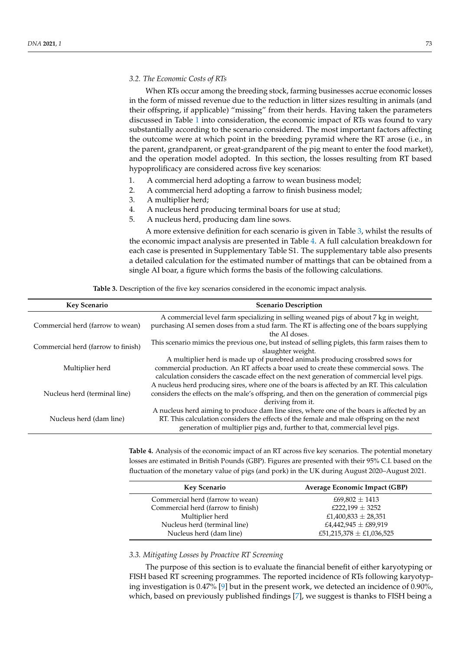#### *3.2. The Economic Costs of RTs*

When RTs occur among the breeding stock, farming businesses accrue economic losses in the form of missed revenue due to the reduction in litter sizes resulting in animals (and their offspring, if applicable) "missing" from their herds. Having taken the parameters discussed in Table 1 into consideration, the economic impact of RTs was found to vary substantially according to the scenario considered. The most important factors affecting the outcome were at which point in the breeding pyramid where the RT arose (i.e., in the parent, grandparent, or great-grandparent of the pig meant to enter the food market), and the operation model adopted. In this section, the losses resulting from RT based hypoprolificacy are considered across five key scenarios:

- 1. A commercial herd adopting a farrow to wean business model;
- 2. A commercial herd adopting a farrow to finish business model;
- 3. A multiplier herd;
- 4. A nucleus herd producing terminal boars for use at stud;
- 5. A nucleus herd, producing dam line sows.

A more extensive definition for each scenario is given in Table 3, whilst the results of the economic impact analysis are presented in Table 4. A full calculation breakdown for each case is presented in Supplementary Table S1. The supplementary table also presents a detailed calculation for the estimated number of mattings that can be obtained from a single AI boar, a figure which forms the basis of the following calculations.

| <b>Table 3.</b> Description of the five key scenarios considered in the economic impact analysis. |  |  |
|---------------------------------------------------------------------------------------------------|--|--|
|                                                                                                   |  |  |

| <b>Key Scenario</b>                | <b>Scenario Description</b>                                                                                                                                                                                                                                         |  |  |
|------------------------------------|---------------------------------------------------------------------------------------------------------------------------------------------------------------------------------------------------------------------------------------------------------------------|--|--|
| Commercial herd (farrow to wean)   | A commercial level farm specializing in selling weaned pigs of about 7 kg in weight,<br>purchasing AI semen doses from a stud farm. The RT is affecting one of the boars supplying<br>the AI doses.                                                                 |  |  |
| Commercial herd (farrow to finish) | This scenario mimics the previous one, but instead of selling piglets, this farm raises them to<br>slaughter weight.                                                                                                                                                |  |  |
| Multiplier herd                    | A multiplier herd is made up of purebred animals producing crossbred sows for<br>commercial production. An RT affects a boar used to create these commercial sows. The<br>calculation considers the cascade effect on the next generation of commercial level pigs. |  |  |
| Nucleus herd (terminal line)       | A nucleus herd producing sires, where one of the boars is affected by an RT. This calculation<br>considers the effects on the male's offspring, and then on the generation of commercial pigs<br>deriving from it.                                                  |  |  |
| Nucleus herd (dam line)            | A nucleus herd aiming to produce dam line sires, where one of the boars is affected by an<br>RT. This calculation considers the effects of the female and male offspring on the next<br>generation of multiplier pigs and, further to that, commercial level pigs.  |  |  |

**Table 4.** Analysis of the economic impact of an RT across five key scenarios. The potential monetary losses are estimated in British Pounds (GBP). Figures are presented with their 95% C.I. based on the fluctuation of the monetary value of pigs (and pork) in the UK during August 2020–August 2021.

| <b>Key Scenario</b>                | Average Economic Impact (GBP) |
|------------------------------------|-------------------------------|
| Commercial herd (farrow to wean)   | £69,802 $\pm$ 1413            |
| Commercial herd (farrow to finish) | £222,199 $\pm$ 3252           |
| Multiplier herd                    | £1,400,833 $\pm$ 28,351       |
| Nucleus herd (terminal line)       | £4,442,945 $\pm$ £89,919      |
| Nucleus herd (dam line)            | £51,215,378 $\pm$ £1,036,525  |

#### *3.3. Mitigating Losses by Proactive RT Screening*

The purpose of this section is to evaluate the financial benefit of either karyotyping or FISH based RT screening programmes. The reported incidence of RTs following karyotyping investigation is 0.47% [9] but in the present work, we detected an incidence of 0.90%, which, based on previously published findings [7], we suggest is thanks to FISH being a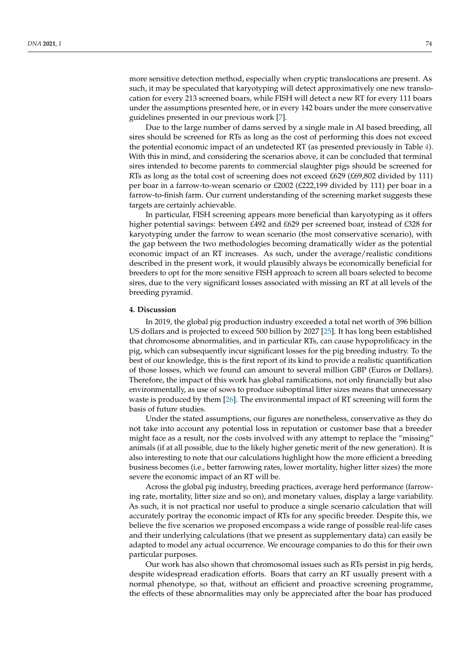more sensitive detection method, especially when cryptic translocations are present. As such, it may be speculated that karyotyping will detect approximatively one new translocation for every 213 screened boars, while FISH will detect a new RT for every 111 boars under the assumptions presented here, or in every 142 boars under the more conservative guidelines presented in our previous work [7].

Due to the large number of dams served by a single male in AI based breeding, all sires should be screened for RTs as long as the cost of performing this does not exceed the potential economic impact of an undetected RT (as presented previously in Table 4). With this in mind, and considering the scenarios above, it can be concluded that terminal sires intended to become parents to commercial slaughter pigs should be screened for RTs as long as the total cost of screening does not exceed £629 (£69,802 divided by 111) per boar in a farrow-to-wean scenario or £2002 (£222,199 divided by 111) per boar in a farrow-to-finish farm. Our current understanding of the screening market suggests these targets are certainly achievable.

In particular, FISH screening appears more beneficial than karyotyping as it offers higher potential savings: between £492 and £629 per screened boar, instead of £328 for karyotyping under the farrow to wean scenario (the most conservative scenario), with the gap between the two methodologies becoming dramatically wider as the potential economic impact of an RT increases. As such, under the average/realistic conditions described in the present work, it would plausibly always be economically beneficial for breeders to opt for the more sensitive FISH approach to screen all boars selected to become sires, due to the very significant losses associated with missing an RT at all levels of the breeding pyramid.

#### **4. Discussion**

In 2019, the global pig production industry exceeded a total net worth of 396 billion US dollars and is projected to exceed 500 billion by 2027 [25]. It has long been established that chromosome abnormalities, and in particular RTs, can cause hypoprolificacy in the pig, which can subsequently incur significant losses for the pig breeding industry. To the best of our knowledge, this is the first report of its kind to provide a realistic quantification of those losses, which we found can amount to several million GBP (Euros or Dollars). Therefore, the impact of this work has global ramifications, not only financially but also environmentally, as use of sows to produce suboptimal litter sizes means that unnecessary waste is produced by them [26]. The environmental impact of RT screening will form the basis of future studies.

Under the stated assumptions, our figures are nonetheless, conservative as they do not take into account any potential loss in reputation or customer base that a breeder might face as a result, nor the costs involved with any attempt to replace the "missing" animals (if at all possible, due to the likely higher genetic merit of the new generation). It is also interesting to note that our calculations highlight how the more efficient a breeding business becomes (i.e., better farrowing rates, lower mortality, higher litter sizes) the more severe the economic impact of an RT will be.

Across the global pig industry, breeding practices, average herd performance (farrowing rate, mortality, litter size and so on), and monetary values, display a large variability. As such, it is not practical nor useful to produce a single scenario calculation that will accurately portray the economic impact of RTs for any specific breeder. Despite this, we believe the five scenarios we proposed encompass a wide range of possible real-life cases and their underlying calculations (that we present as supplementary data) can easily be adapted to model any actual occurrence. We encourage companies to do this for their own particular purposes.

Our work has also shown that chromosomal issues such as RTs persist in pig herds, despite widespread eradication efforts. Boars that carry an RT usually present with a normal phenotype, so that, without an efficient and proactive screening programme, the effects of these abnormalities may only be appreciated after the boar has produced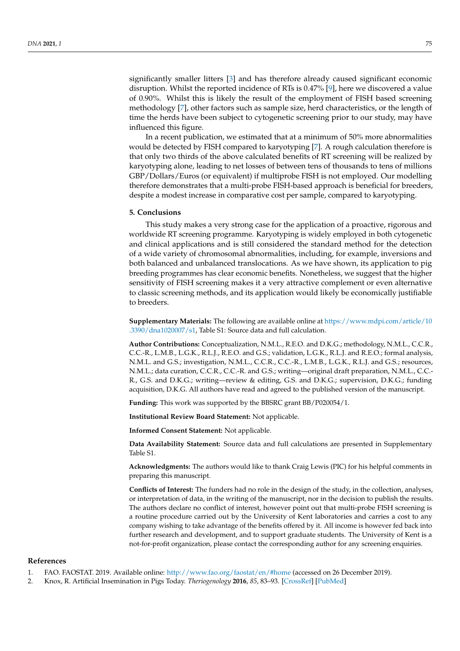significantly smaller litters [3] and has therefore already caused significant economic disruption. Whilst the reported incidence of RTs is 0.47% [9], here we discovered a value of 0.90%. Whilst this is likely the result of the employment of FISH based screening methodology [7], other factors such as sample size, herd characteristics, or the length of time the herds have been subject to cytogenetic screening prior to our study, may have influenced this figure.

In a recent publication, we estimated that at a minimum of 50% more abnormalities would be detected by FISH compared to karyotyping [7]. A rough calculation therefore is that only two thirds of the above calculated benefits of RT screening will be realized by karyotyping alone, leading to net losses of between tens of thousands to tens of millions GBP/Dollars/Euros (or equivalent) if multiprobe FISH is not employed. Our modelling therefore demonstrates that a multi-probe FISH-based approach is beneficial for breeders, despite a modest increase in comparative cost per sample, compared to karyotyping.

#### **5. Conclusions**

This study makes a very strong case for the application of a proactive, rigorous and worldwide RT screening programme. Karyotyping is widely employed in both cytogenetic and clinical applications and is still considered the standard method for the detection of a wide variety of chromosomal abnormalities, including, for example, inversions and both balanced and unbalanced translocations. As we have shown, its application to pig breeding programmes has clear economic benefits. Nonetheless, we suggest that the higher sensitivity of FISH screening makes it a very attractive complement or even alternative to classic screening methods, and its application would likely be economically justifiable to breeders.

**Supplementary Materials:** The following are available online at [https://www.mdpi.com/article/10](https://www.mdpi.com/article/10.3390/dna1020007/s1) [.3390/dna1020007/s1,](https://www.mdpi.com/article/10.3390/dna1020007/s1) Table S1: Source data and full calculation.

**Author Contributions:** Conceptualization, N.M.L., R.E.O. and D.K.G.; methodology, N.M.L., C.C.R., C.C.-R., L.M.B., L.G.K., R.L.J., R.E.O. and G.S.; validation, L.G.K., R.L.J. and R.E.O.; formal analysis, N.M.L. and G.S.; investigation, N.M.L., C.C.R., C.C.-R., L.M.B., L.G.K., R.L.J. and G.S.; resources, N.M.L.; data curation, C.C.R., C.C.-R. and G.S.; writing—original draft preparation, N.M.L., C.C.- R., G.S. and D.K.G.; writing—review & editing, G.S. and D.K.G.; supervision, D.K.G.; funding acquisition, D.K.G. All authors have read and agreed to the published version of the manuscript.

**Funding:** This work was supported by the BBSRC grant BB/P020054/1.

**Institutional Review Board Statement:** Not applicable.

**Informed Consent Statement:** Not applicable.

**Data Availability Statement:** Source data and full calculations are presented in Supplementary Table S1.

**Acknowledgments:** The authors would like to thank Craig Lewis (PIC) for his helpful comments in preparing this manuscript.

**Conflicts of Interest:** The funders had no role in the design of the study, in the collection, analyses, or interpretation of data, in the writing of the manuscript, nor in the decision to publish the results. The authors declare no conflict of interest, however point out that multi-probe FISH screening is a routine procedure carried out by the University of Kent laboratories and carries a cost to any company wishing to take advantage of the benefits offered by it. All income is however fed back into further research and development, and to support graduate students. The University of Kent is a not-for-profit organization, please contact the corresponding author for any screening enquiries.

#### **References**

- 1. FAO. FAOSTAT. 2019. Available online: <http://www.fao.org/faostat/en/#home> (accessed on 26 December 2019).
- 2. Knox, R. Artificial Insemination in Pigs Today. *Theriogenology* **2016**, *85*, 83–93. [\[CrossRef\]](http://doi.org/10.1016/j.theriogenology.2015.07.009) [\[PubMed\]](http://www.ncbi.nlm.nih.gov/pubmed/26253434)